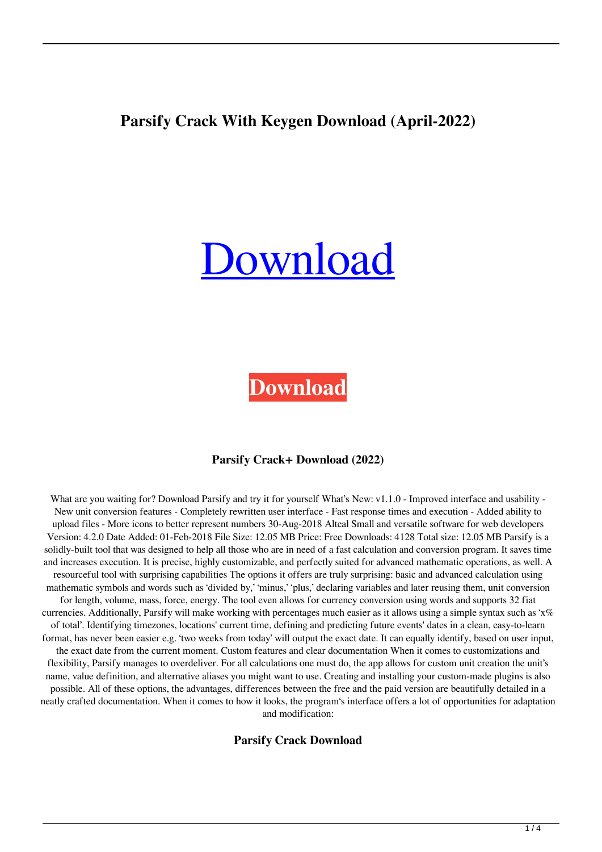## **Parsify Crack With Keygen Download (April-2022)**

# [Download](http://evacdir.com/annmejeidu/demystify/usharani/waiving/ZG93bmxvYWR8S3Q2TW5Wd2VYeDhNVFkxTkRRek5qWTFPSHg4TWpVNU1IeDhLRTBwSUZkdmNtUndjbVZ6Y3lCYldFMU1VbEJESUZZeUlGQkVSbDA/grimsmo/UGFyc2lmeQUGF/menino/reverted=)

**[Download](http://evacdir.com/annmejeidu/demystify/usharani/waiving/ZG93bmxvYWR8S3Q2TW5Wd2VYeDhNVFkxTkRRek5qWTFPSHg4TWpVNU1IeDhLRTBwSUZkdmNtUndjbVZ6Y3lCYldFMU1VbEJESUZZeUlGQkVSbDA/grimsmo/UGFyc2lmeQUGF/menino/reverted=)**

#### **Parsify Crack+ Download (2022)**

What are you waiting for? Download Parsify and try it for yourself What's New: v1.1.0 - Improved interface and usability -New unit conversion features - Completely rewritten user interface - Fast response times and execution - Added ability to upload files - More icons to better represent numbers 30-Aug-2018 Alteal Small and versatile software for web developers Version: 4.2.0 Date Added: 01-Feb-2018 File Size: 12.05 MB Price: Free Downloads: 4128 Total size: 12.05 MB Parsify is a solidly-built tool that was designed to help all those who are in need of a fast calculation and conversion program. It saves time and increases execution. It is precise, highly customizable, and perfectly suited for advanced mathematic operations, as well. A resourceful tool with surprising capabilities The options it offers are truly surprising: basic and advanced calculation using mathematic symbols and words such as 'divided by,' 'minus,' 'plus,' declaring variables and later reusing them, unit conversion for length, volume, mass, force, energy. The tool even allows for currency conversion using words and supports 32 fiat currencies. Additionally, Parsify will make working with percentages much easier as it allows using a simple syntax such as 'x% of total'. Identifying timezones, locations' current time, defining and predicting future events' dates in a clean, easy-to-learn format, has never been easier e.g. 'two weeks from today' will output the exact date. It can equally identify, based on user input, the exact date from the current moment. Custom features and clear documentation When it comes to customizations and flexibility, Parsify manages to overdeliver. For all calculations one must do, the app allows for custom unit creation the unit's name, value definition, and alternative aliases you might want to use. Creating and installing your custom-made plugins is also possible. All of these options, the advantages, differences between the free and the paid version are beautifully detailed in a neatly crafted documentation. When it comes to how it looks, the program's interface offers a lot of opportunities for adaptation and modification:

**Parsify Crack Download**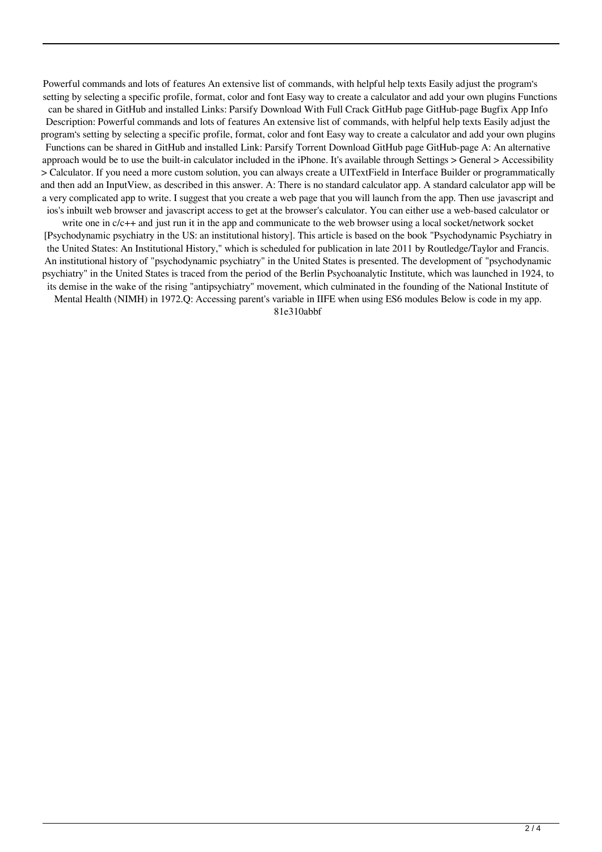Powerful commands and lots of features An extensive list of commands, with helpful help texts Easily adjust the program's setting by selecting a specific profile, format, color and font Easy way to create a calculator and add your own plugins Functions can be shared in GitHub and installed Links: Parsify Download With Full Crack GitHub page GitHub-page Bugfix App Info Description: Powerful commands and lots of features An extensive list of commands, with helpful help texts Easily adjust the program's setting by selecting a specific profile, format, color and font Easy way to create a calculator and add your own plugins Functions can be shared in GitHub and installed Link: Parsify Torrent Download GitHub page GitHub-page A: An alternative approach would be to use the built-in calculator included in the iPhone. It's available through Settings > General > Accessibility > Calculator. If you need a more custom solution, you can always create a UITextField in Interface Builder or programmatically and then add an InputView, as described in this answer. A: There is no standard calculator app. A standard calculator app will be a very complicated app to write. I suggest that you create a web page that you will launch from the app. Then use javascript and ios's inbuilt web browser and javascript access to get at the browser's calculator. You can either use a web-based calculator or write one in  $c/c++$  and just run it in the app and communicate to the web browser using a local socket/network socket

[Psychodynamic psychiatry in the US: an institutional history]. This article is based on the book "Psychodynamic Psychiatry in the United States: An Institutional History," which is scheduled for publication in late 2011 by Routledge/Taylor and Francis. An institutional history of "psychodynamic psychiatry" in the United States is presented. The development of "psychodynamic psychiatry" in the United States is traced from the period of the Berlin Psychoanalytic Institute, which was launched in 1924, to its demise in the wake of the rising "antipsychiatry" movement, which culminated in the founding of the National Institute of

Mental Health (NIMH) in 1972.Q: Accessing parent's variable in IIFE when using ES6 modules Below is code in my app.

81e310abbf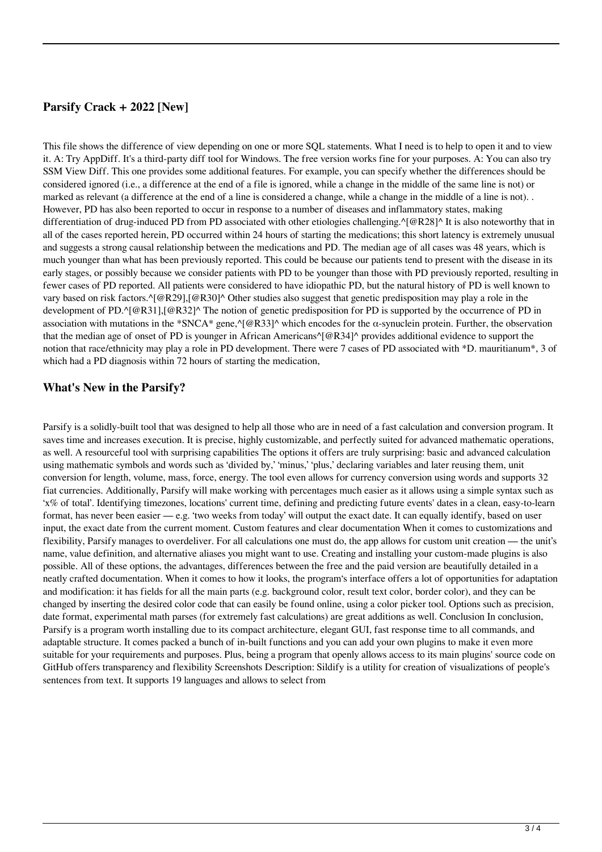#### **Parsify Crack + 2022 [New]**

This file shows the difference of view depending on one or more SQL statements. What I need is to help to open it and to view it. A: Try AppDiff. It's a third-party diff tool for Windows. The free version works fine for your purposes. A: You can also try SSM View Diff. This one provides some additional features. For example, you can specify whether the differences should be considered ignored (i.e., a difference at the end of a file is ignored, while a change in the middle of the same line is not) or marked as relevant (a difference at the end of a line is considered a change, while a change in the middle of a line is not). . However, PD has also been reported to occur in response to a number of diseases and inflammatory states, making differentiation of drug-induced PD from PD associated with other etiologies challenging.^[@R28]^ It is also noteworthy that in all of the cases reported herein, PD occurred within 24 hours of starting the medications; this short latency is extremely unusual and suggests a strong causal relationship between the medications and PD. The median age of all cases was 48 years, which is much younger than what has been previously reported. This could be because our patients tend to present with the disease in its early stages, or possibly because we consider patients with PD to be younger than those with PD previously reported, resulting in fewer cases of PD reported. All patients were considered to have idiopathic PD, but the natural history of PD is well known to vary based on risk factors.^[@R29],[@R30]^ Other studies also suggest that genetic predisposition may play a role in the development of PD.^[@R31],[@R32]^ The notion of genetic predisposition for PD is supported by the occurrence of PD in association with mutations in the \*SNCA\* gene,^[@R33]^ which encodes for the α-synuclein protein. Further, the observation that the median age of onset of PD is younger in African Americans^[@R34]^ provides additional evidence to support the notion that race/ethnicity may play a role in PD development. There were 7 cases of PD associated with \*D. mauritianum\*, 3 of which had a PD diagnosis within 72 hours of starting the medication,

#### **What's New in the Parsify?**

Parsify is a solidly-built tool that was designed to help all those who are in need of a fast calculation and conversion program. It saves time and increases execution. It is precise, highly customizable, and perfectly suited for advanced mathematic operations, as well. A resourceful tool with surprising capabilities The options it offers are truly surprising: basic and advanced calculation using mathematic symbols and words such as 'divided by,' 'minus,' 'plus,' declaring variables and later reusing them, unit conversion for length, volume, mass, force, energy. The tool even allows for currency conversion using words and supports 32 fiat currencies. Additionally, Parsify will make working with percentages much easier as it allows using a simple syntax such as 'x% of total'. Identifying timezones, locations' current time, defining and predicting future events' dates in a clean, easy-to-learn format, has never been easier — e.g. 'two weeks from today' will output the exact date. It can equally identify, based on user input, the exact date from the current moment. Custom features and clear documentation When it comes to customizations and flexibility, Parsify manages to overdeliver. For all calculations one must do, the app allows for custom unit creation — the unit's name, value definition, and alternative aliases you might want to use. Creating and installing your custom-made plugins is also possible. All of these options, the advantages, differences between the free and the paid version are beautifully detailed in a neatly crafted documentation. When it comes to how it looks, the program's interface offers a lot of opportunities for adaptation and modification: it has fields for all the main parts (e.g. background color, result text color, border color), and they can be changed by inserting the desired color code that can easily be found online, using a color picker tool. Options such as precision, date format, experimental math parses (for extremely fast calculations) are great additions as well. Conclusion In conclusion, Parsify is a program worth installing due to its compact architecture, elegant GUI, fast response time to all commands, and adaptable structure. It comes packed a bunch of in-built functions and you can add your own plugins to make it even more suitable for your requirements and purposes. Plus, being a program that openly allows access to its main plugins' source code on GitHub offers transparency and flexibility Screenshots Description: Sildify is a utility for creation of visualizations of people's sentences from text. It supports 19 languages and allows to select from